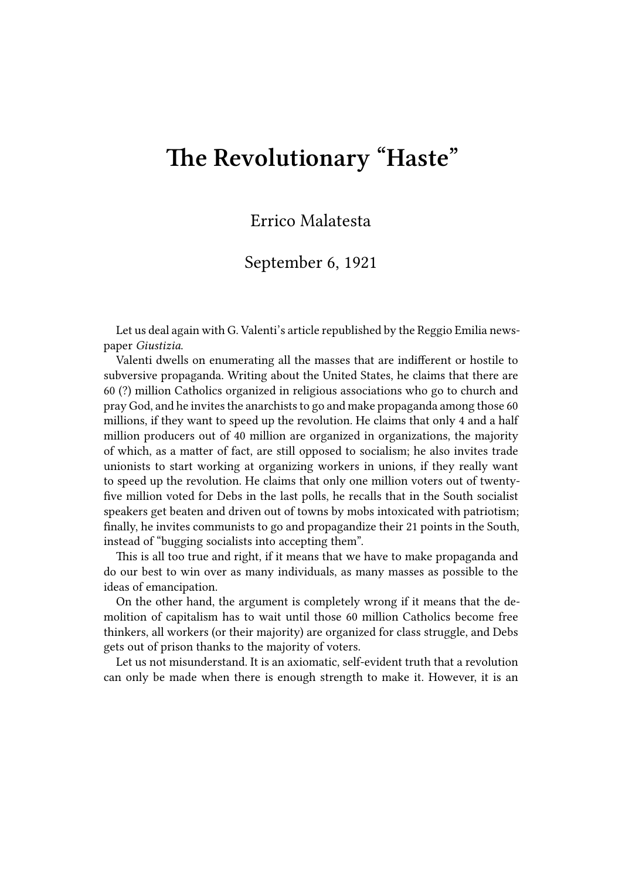## **The Revolutionary "Haste"**

## Errico Malatesta

## September 6, 1921

Let us deal again with G. Valenti's article republished by the Reggio Emilia newspaper *Giustizia*.

Valenti dwells on enumerating all the masses that are indifferent or hostile to subversive propaganda. Writing about the United States, he claims that there are 60 (?) million Catholics organized in religious associations who go to church and pray God, and he invites the anarchists to go and make propaganda among those 60 millions, if they want to speed up the revolution. He claims that only 4 and a half million producers out of 40 million are organized in organizations, the majority of which, as a matter of fact, are still opposed to socialism; he also invites trade unionists to start working at organizing workers in unions, if they really want to speed up the revolution. He claims that only one million voters out of twentyfive million voted for Debs in the last polls, he recalls that in the South socialist speakers get beaten and driven out of towns by mobs intoxicated with patriotism; finally, he invites communists to go and propagandize their 21 points in the South, instead of "bugging socialists into accepting them".

This is all too true and right, if it means that we have to make propaganda and do our best to win over as many individuals, as many masses as possible to the ideas of emancipation.

On the other hand, the argument is completely wrong if it means that the demolition of capitalism has to wait until those 60 million Catholics become free thinkers, all workers (or their majority) are organized for class struggle, and Debs gets out of prison thanks to the majority of voters.

Let us not misunderstand. It is an axiomatic, self-evident truth that a revolution can only be made when there is enough strength to make it. However, it is an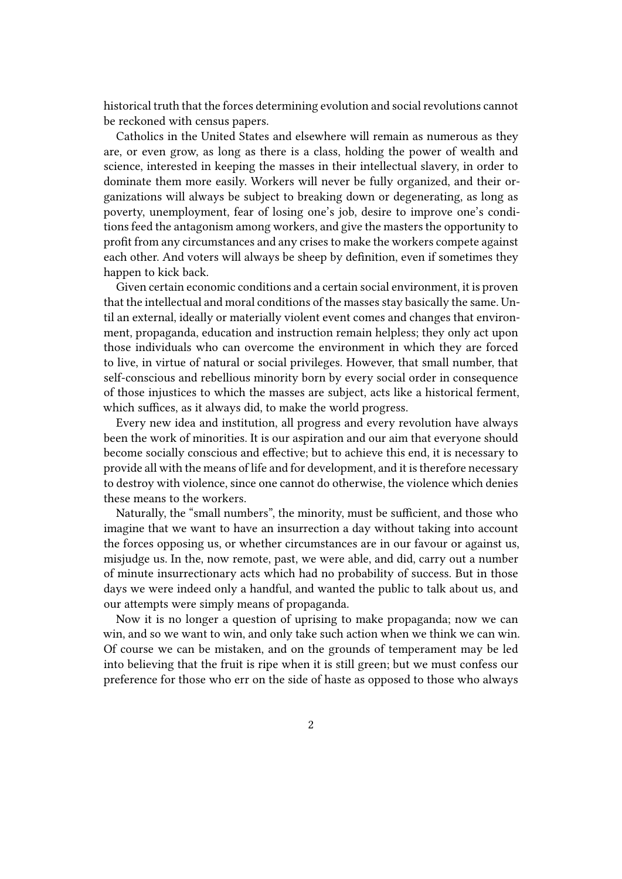historical truth that the forces determining evolution and social revolutions cannot be reckoned with census papers.

Catholics in the United States and elsewhere will remain as numerous as they are, or even grow, as long as there is a class, holding the power of wealth and science, interested in keeping the masses in their intellectual slavery, in order to dominate them more easily. Workers will never be fully organized, and their organizations will always be subject to breaking down or degenerating, as long as poverty, unemployment, fear of losing one's job, desire to improve one's conditions feed the antagonism among workers, and give the masters the opportunity to profit from any circumstances and any crises to make the workers compete against each other. And voters will always be sheep by definition, even if sometimes they happen to kick back.

Given certain economic conditions and a certain social environment, it is proven that the intellectual and moral conditions of the masses stay basically the same. Until an external, ideally or materially violent event comes and changes that environment, propaganda, education and instruction remain helpless; they only act upon those individuals who can overcome the environment in which they are forced to live, in virtue of natural or social privileges. However, that small number, that self-conscious and rebellious minority born by every social order in consequence of those injustices to which the masses are subject, acts like a historical ferment, which suffices, as it always did, to make the world progress.

Every new idea and institution, all progress and every revolution have always been the work of minorities. It is our aspiration and our aim that everyone should become socially conscious and effective; but to achieve this end, it is necessary to provide all with the means of life and for development, and it is therefore necessary to destroy with violence, since one cannot do otherwise, the violence which denies these means to the workers.

Naturally, the "small numbers", the minority, must be sufficient, and those who imagine that we want to have an insurrection a day without taking into account the forces opposing us, or whether circumstances are in our favour or against us, misjudge us. In the, now remote, past, we were able, and did, carry out a number of minute insurrectionary acts which had no probability of success. But in those days we were indeed only a handful, and wanted the public to talk about us, and our attempts were simply means of propaganda.

Now it is no longer a question of uprising to make propaganda; now we can win, and so we want to win, and only take such action when we think we can win. Of course we can be mistaken, and on the grounds of temperament may be led into believing that the fruit is ripe when it is still green; but we must confess our preference for those who err on the side of haste as opposed to those who always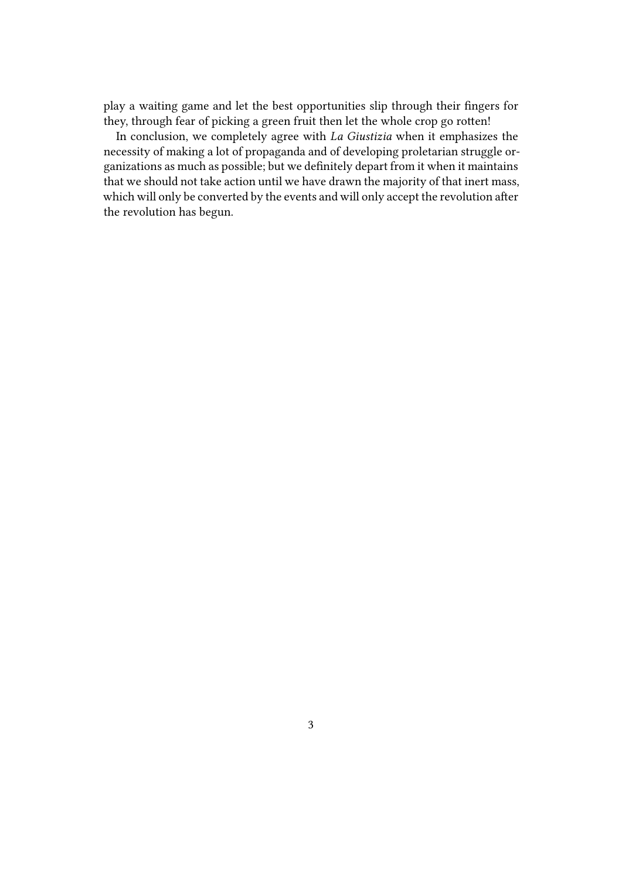play a waiting game and let the best opportunities slip through their fingers for they, through fear of picking a green fruit then let the whole crop go rotten!

In conclusion, we completely agree with *La Giustizia* when it emphasizes the necessity of making a lot of propaganda and of developing proletarian struggle organizations as much as possible; but we definitely depart from it when it maintains that we should not take action until we have drawn the majority of that inert mass, which will only be converted by the events and will only accept the revolution after the revolution has begun.